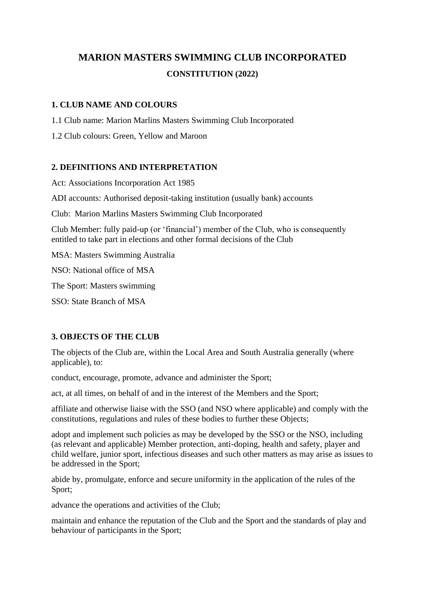# **MARION MASTERS SWIMMING CLUB INCORPORATED CONSTITUTION (2022)**

## **1. CLUB NAME AND COLOURS**

1.1 Club name: Marion Marlins Masters Swimming Club Incorporated

1.2 Club colours: Green, Yellow and Maroon

# **2. DEFINITIONS AND INTERPRETATION**

Act: Associations Incorporation Act 1985

ADI accounts: Authorised deposit-taking institution (usually bank) accounts

Club: Marion Marlins Masters Swimming Club Incorporated

Club Member: fully paid-up (or 'financial') member of the Club, who is consequently entitled to take part in elections and other formal decisions of the Club

MSA: Masters Swimming Australia

NSO: National office of MSA

The Sport: Masters swimming

SSO: State Branch of MSA

## **3. OBJECTS OF THE CLUB**

The objects of the Club are, within the Local Area and South Australia generally (where applicable), to:

conduct, encourage, promote, advance and administer the Sport;

act, at all times, on behalf of and in the interest of the Members and the Sport;

affiliate and otherwise liaise with the SSO (and NSO where applicable) and comply with the constitutions, regulations and rules of these bodies to further these Objects;

adopt and implement such policies as may be developed by the SSO or the NSO, including (as relevant and applicable) Member protection, anti-doping, health and safety, player and child welfare, junior sport, infectious diseases and such other matters as may arise as issues to be addressed in the Sport;

abide by, promulgate, enforce and secure uniformity in the application of the rules of the Sport;

advance the operations and activities of the Club;

maintain and enhance the reputation of the Club and the Sport and the standards of play and behaviour of participants in the Sport;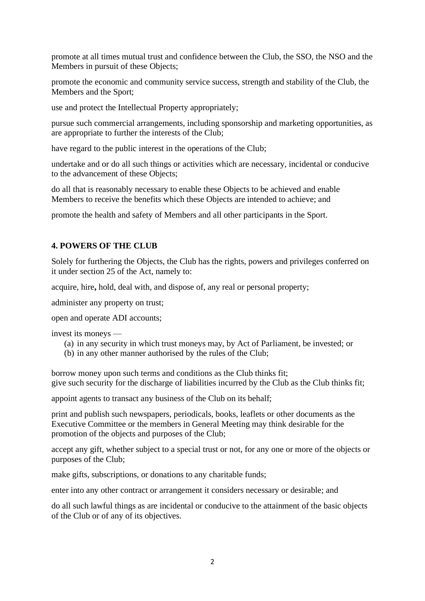promote at all times mutual trust and confidence between the Club, the SSO, the NSO and the Members in pursuit of these Objects;

promote the economic and community service success, strength and stability of the Club, the Members and the Sport;

use and protect the Intellectual Property appropriately;

pursue such commercial arrangements, including sponsorship and marketing opportunities, as are appropriate to further the interests of the Club;

have regard to the public interest in the operations of the Club;

undertake and or do all such things or activities which are necessary, incidental or conducive to the advancement of these Objects;

do all that is reasonably necessary to enable these Objects to be achieved and enable Members to receive the benefits which these Objects are intended to achieve; and

promote the health and safety of Members and all other participants in the Sport.

#### **4. POWERS OF THE CLUB**

Solely for furthering the Objects, the Club has the rights, powers and privileges conferred on it under section 25 of the Act, namely to:

acquire, hire**,** hold, deal with, and dispose of, any real or personal property;

administer any property on trust;

open and operate ADI accounts;

invest its moneys —

- (a) in any security in which trust moneys may, by Act of Parliament, be invested; or
- (b) in any other manner authorised by the rules of the Club;

borrow money upon such terms and conditions as the Club thinks fit; give such security for the discharge of liabilities incurred by the Club as the Club thinks fit;

appoint agents to transact any business of the Club on its behalf;

print and publish such newspapers, periodicals, books, leaflets or other documents as the Executive Committee or the members in General Meeting may think desirable for the promotion of the objects and purposes of the Club;

accept any gift, whether subject to a special trust or not, for any one or more of the objects or purposes of the Club;

make gifts, subscriptions, or donations to any charitable funds;

enter into any other contract or arrangement it considers necessary or desirable; and

do all such lawful things as are incidental or conducive to the attainment of the basic objects of the Club or of any of its objectives.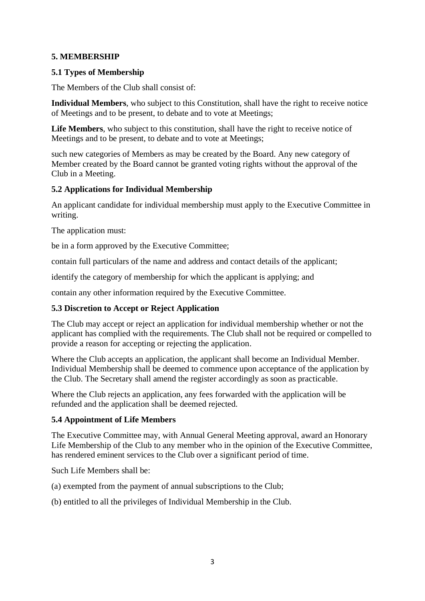# **5. MEMBERSHIP**

## **5.1 Types of Membership**

The Members of the Club shall consist of:

**Individual Members**, who subject to this Constitution, shall have the right to receive notice of Meetings and to be present, to debate and to vote at Meetings;

**Life Members**, who subject to this constitution, shall have the right to receive notice of Meetings and to be present, to debate and to vote at Meetings;

such new categories of Members as may be created by the Board. Any new category of Member created by the Board cannot be granted voting rights without the approval of the Club in a Meeting.

## **5.2 Applications for Individual Membership**

An applicant candidate for individual membership must apply to the Executive Committee in writing.

The application must:

be in a form approved by the Executive Committee;

contain full particulars of the name and address and contact details of the applicant;

identify the category of membership for which the applicant is applying; and

contain any other information required by the Executive Committee.

## **5.3 Discretion to Accept or Reject Application**

The Club may accept or reject an application for individual membership whether or not the applicant has complied with the requirements. The Club shall not be required or compelled to provide a reason for accepting or rejecting the application.

Where the Club accepts an application, the applicant shall become an Individual Member. Individual Membership shall be deemed to commence upon acceptance of the application by the Club. The Secretary shall amend the register accordingly as soon as practicable.

Where the Club rejects an application, any fees forwarded with the application will be refunded and the application shall be deemed rejected.

## **5.4 Appointment of Life Members**

The Executive Committee may, with Annual General Meeting approval, award an Honorary Life Membership of the Club to any member who in the opinion of the Executive Committee, has rendered eminent services to the Club over a significant period of time.

Such Life Members shall be:

(a) exempted from the payment of annual subscriptions to the Club;

(b) entitled to all the privileges of Individual Membership in the Club.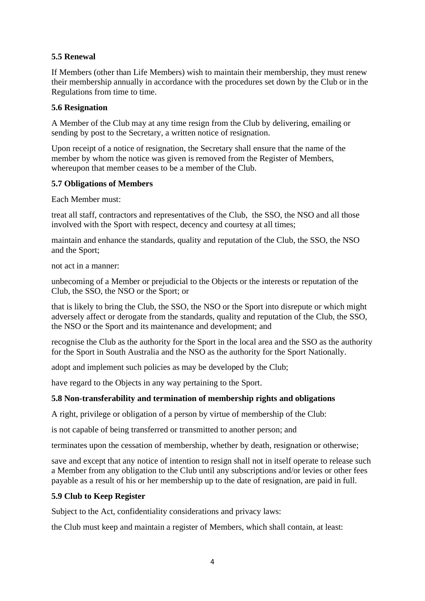# **5.5 Renewal**

If Members (other than Life Members) wish to maintain their membership, they must renew their membership annually in accordance with the procedures set down by the Club or in the Regulations from time to time.

#### **5.6 Resignation**

A Member of the Club may at any time resign from the Club by delivering, emailing or sending by post to the Secretary, a written notice of resignation.

Upon receipt of a notice of resignation, the Secretary shall ensure that the name of the member by whom the notice was given is removed from the Register of Members, whereupon that member ceases to be a member of the Club.

## **5.7 Obligations of Members**

Each Member must:

treat all staff, contractors and representatives of the Club, the SSO, the NSO and all those involved with the Sport with respect, decency and courtesy at all times;

maintain and enhance the standards, quality and reputation of the Club, the SSO, the NSO and the Sport;

not act in a manner:

unbecoming of a Member or prejudicial to the Objects or the interests or reputation of the Club, the SSO, the NSO or the Sport; or

that is likely to bring the Club, the SSO, the NSO or the Sport into disrepute or which might adversely affect or derogate from the standards, quality and reputation of the Club, the SSO, the NSO or the Sport and its maintenance and development; and

recognise the Club as the authority for the Sport in the local area and the SSO as the authority for the Sport in South Australia and the NSO as the authority for the Sport Nationally.

adopt and implement such policies as may be developed by the Club;

have regard to the Objects in any way pertaining to the Sport.

## **5.8 Non-transferability and termination of membership rights and obligations**

A right, privilege or obligation of a person by virtue of membership of the Club:

is not capable of being transferred or transmitted to another person; and

terminates upon the cessation of membership, whether by death, resignation or otherwise;

save and except that any notice of intention to resign shall not in itself operate to release such a Member from any obligation to the Club until any subscriptions and/or levies or other fees payable as a result of his or her membership up to the date of resignation, are paid in full.

## **5.9 Club to Keep Register**

Subject to the Act, confidentiality considerations and privacy laws:

the Club must keep and maintain a register of Members, which shall contain, at least: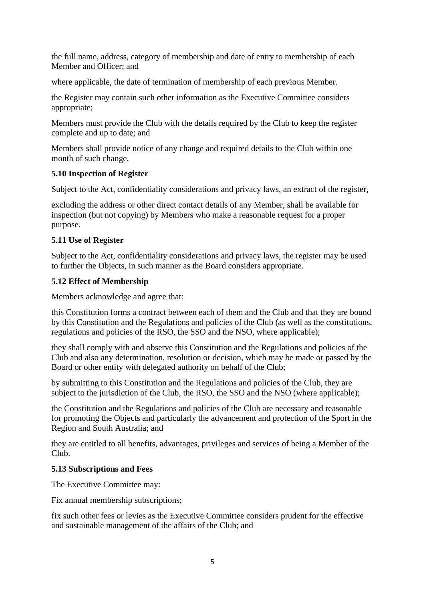the full name, address, category of membership and date of entry to membership of each Member and Officer; and

where applicable, the date of termination of membership of each previous Member.

the Register may contain such other information as the Executive Committee considers appropriate;

Members must provide the Club with the details required by the Club to keep the register complete and up to date; and

Members shall provide notice of any change and required details to the Club within one month of such change.

## **5.10 Inspection of Register**

Subject to the Act, confidentiality considerations and privacy laws, an extract of the register,

excluding the address or other direct contact details of any Member, shall be available for inspection (but not copying) by Members who make a reasonable request for a proper purpose.

## **5.11 Use of Register**

Subject to the Act, confidentiality considerations and privacy laws, the register may be used to further the Objects, in such manner as the Board considers appropriate.

## **5.12 Effect of Membership**

Members acknowledge and agree that:

this Constitution forms a contract between each of them and the Club and that they are bound by this Constitution and the Regulations and policies of the Club (as well as the constitutions, regulations and policies of the RSO, the SSO and the NSO, where applicable);

they shall comply with and observe this Constitution and the Regulations and policies of the Club and also any determination, resolution or decision, which may be made or passed by the Board or other entity with delegated authority on behalf of the Club;

by submitting to this Constitution and the Regulations and policies of the Club, they are subject to the jurisdiction of the Club, the RSO, the SSO and the NSO (where applicable);

the Constitution and the Regulations and policies of the Club are necessary and reasonable for promoting the Objects and particularly the advancement and protection of the Sport in the Region and South Australia; and

they are entitled to all benefits, advantages, privileges and services of being a Member of the Club.

## **5.13 Subscriptions and Fees**

The Executive Committee may:

Fix annual membership subscriptions;

fix such other fees or levies as the Executive Committee considers prudent for the effective and sustainable management of the affairs of the Club; and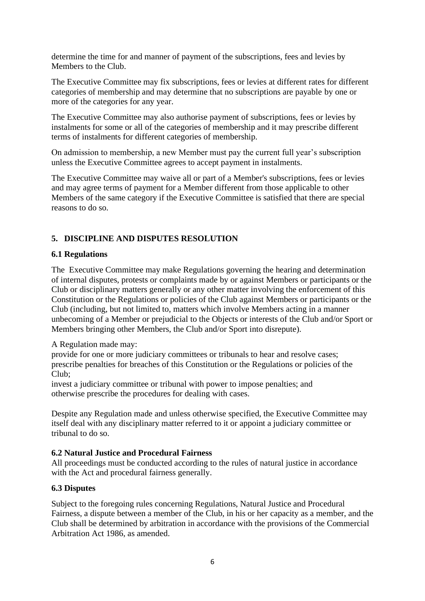determine the time for and manner of payment of the subscriptions, fees and levies by Members to the Club.

The Executive Committee may fix subscriptions, fees or levies at different rates for different categories of membership and may determine that no subscriptions are payable by one or more of the categories for any year.

The Executive Committee may also authorise payment of subscriptions, fees or levies by instalments for some or all of the categories of membership and it may prescribe different terms of instalments for different categories of membership.

On admission to membership, a new Member must pay the current full year's subscription unless the Executive Committee agrees to accept payment in instalments.

The Executive Committee may waive all or part of a Member's subscriptions, fees or levies and may agree terms of payment for a Member different from those applicable to other Members of the same category if the Executive Committee is satisfied that there are special reasons to do so.

# **5. DISCIPLINE AND DISPUTES RESOLUTION**

#### **6.1 Regulations**

The Executive Committee may make Regulations governing the hearing and determination of internal disputes, protests or complaints made by or against Members or participants or the Club or disciplinary matters generally or any other matter involving the enforcement of this Constitution or the Regulations or policies of the Club against Members or participants or the Club (including, but not limited to, matters which involve Members acting in a manner unbecoming of a Member or prejudicial to the Objects or interests of the Club and/or Sport or Members bringing other Members, the Club and/or Sport into disrepute).

#### A Regulation made may:

provide for one or more judiciary committees or tribunals to hear and resolve cases; prescribe penalties for breaches of this Constitution or the Regulations or policies of the Club;

invest a judiciary committee or tribunal with power to impose penalties; and otherwise prescribe the procedures for dealing with cases.

Despite any Regulation made and unless otherwise specified, the Executive Committee may itself deal with any disciplinary matter referred to it or appoint a judiciary committee or tribunal to do so.

#### **6.2 Natural Justice and Procedural Fairness**

All proceedings must be conducted according to the rules of natural justice in accordance with the Act and procedural fairness generally.

#### **6.3 Disputes**

Subject to the foregoing rules concerning Regulations, Natural Justice and Procedural Fairness, a dispute between a member of the Club, in his or her capacity as a member, and the Club shall be determined by arbitration in accordance with the provisions of the Commercial Arbitration Act 1986, as amended.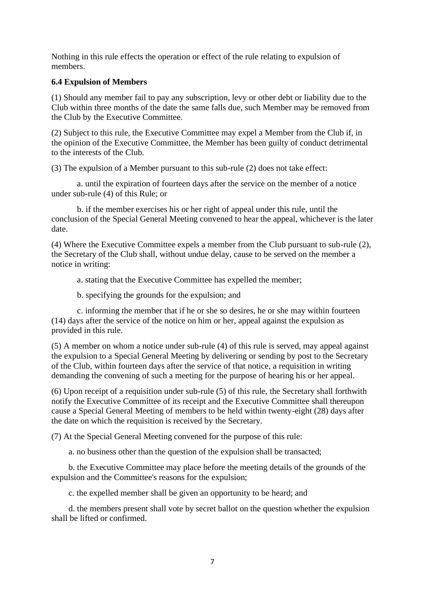Nothing in this rule effects the operation or effect of the rule relating to expulsion of members.

#### **6.4 Expulsion of Members**

(1) Should any member fail to pay any subscription, levy or other debt or liability due to the Club within three months of the date the same falls due, such Member may be removed from the Club by the Executive Committee.

(2) Subject to this rule, the Executive Committee may expel a Member from the Club if, in the opinion of the Executive Committee, the Member has been guilty of conduct detrimental to the interests of the Club.

(3) The expulsion of a Member pursuant to this sub-rule (2) does not take effect:

a. until the expiration of fourteen days after the service on the member of a notice under sub-rule (4) of this Rule; or

b. if the member exercises his or her right of appeal under this rule, until the conclusion of the Special General Meeting convened to hear the appeal, whichever is the later date.

(4) Where the Executive Committee expels a member from the Club pursuant to sub-rule (2), the Secretary of the Club shall, without undue delay, cause to be served on the member a notice in writing:

a. stating that the Executive Committee has expelled the member;

b. specifying the grounds for the expulsion; and

c. informing the member that if he or she so desires, he or she may within fourteen (14) days after the service of the notice on him or her, appeal against the expulsion as provided in this rule.

(5) A member on whom a notice under sub-rule (4) of this rule is served, may appeal against the expulsion to a Special General Meeting by delivering or sending by post to the Secretary of the Club, within fourteen days after the service of that notice, a requisition in writing demanding the convening of such a meeting for the purpose of hearing his or her appeal.

(6) Upon receipt of a requisition under sub-rule (5) of this rule, the Secretary shall forthwith notify the Executive Committee of its receipt and the Executive Committee shall thereupon cause a Special General Meeting of members to be held within twenty-eight (28) days after the date on which the requisition is received by the Secretary.

(7) At the Special General Meeting convened for the purpose of this rule:

a. no business other than the question of the expulsion shall be transacted;

 b. the Executive Committee may place before the meeting details of the grounds of the expulsion and the Committee's reasons for the expulsion;

c. the expelled member shall be given an opportunity to be heard; and

 d. the members present shall vote by secret ballot on the question whether the expulsion shall be lifted or confirmed.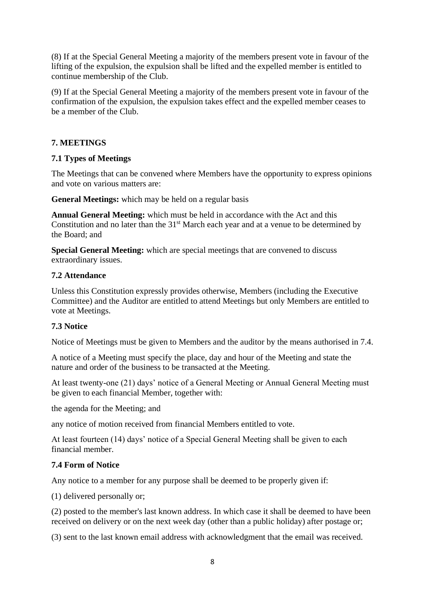(8) If at the Special General Meeting a majority of the members present vote in favour of the lifting of the expulsion, the expulsion shall be lifted and the expelled member is entitled to continue membership of the Club.

(9) If at the Special General Meeting a majority of the members present vote in favour of the confirmation of the expulsion, the expulsion takes effect and the expelled member ceases to be a member of the Club.

# **7. MEETINGS**

## **7.1 Types of Meetings**

The Meetings that can be convened where Members have the opportunity to express opinions and vote on various matters are:

**General Meetings:** which may be held on a regular basis

**Annual General Meeting:** which must be held in accordance with the Act and this Constitution and no later than the 31<sup>st</sup> March each year and at a venue to be determined by the Board; and

**Special General Meeting:** which are special meetings that are convened to discuss extraordinary issues.

#### **7.2 Attendance**

Unless this Constitution expressly provides otherwise, Members (including the Executive Committee) and the Auditor are entitled to attend Meetings but only Members are entitled to vote at Meetings.

#### **7.3 Notice**

Notice of Meetings must be given to Members and the auditor by the means authorised in 7.4.

A notice of a Meeting must specify the place, day and hour of the Meeting and state the nature and order of the business to be transacted at the Meeting.

At least twenty-one (21) days' notice of a General Meeting or Annual General Meeting must be given to each financial Member, together with:

the agenda for the Meeting; and

any notice of motion received from financial Members entitled to vote.

At least fourteen (14) days' notice of a Special General Meeting shall be given to each financial member.

#### **7.4 Form of Notice**

Any notice to a member for any purpose shall be deemed to be properly given if:

(1) delivered personally or;

(2) posted to the member's last known address. In which case it shall be deemed to have been received on delivery or on the next week day (other than a public holiday) after postage or;

(3) sent to the last known email address with acknowledgment that the email was received.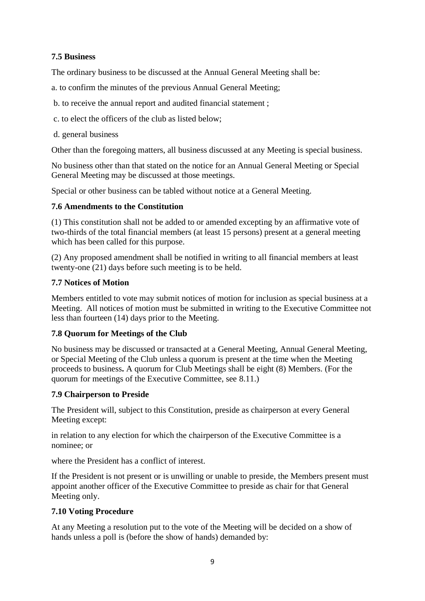# **7.5 Business**

The ordinary business to be discussed at the Annual General Meeting shall be:

- a. to confirm the minutes of the previous Annual General Meeting;
- b. to receive the annual report and audited financial statement ;
- c. to elect the officers of the club as listed below;
- d. general business

Other than the foregoing matters, all business discussed at any Meeting is special business.

No business other than that stated on the notice for an Annual General Meeting or Special General Meeting may be discussed at those meetings.

Special or other business can be tabled without notice at a General Meeting.

#### **7.6 Amendments to the Constitution**

(1) This constitution shall not be added to or amended excepting by an affirmative vote of two-thirds of the total financial members (at least 15 persons) present at a general meeting which has been called for this purpose.

(2) Any proposed amendment shall be notified in writing to all financial members at least twenty-one (21) days before such meeting is to be held.

#### **7.7 Notices of Motion**

Members entitled to vote may submit notices of motion for inclusion as special business at a Meeting. All notices of motion must be submitted in writing to the Executive Committee not less than fourteen (14) days prior to the Meeting.

## **7.8 Quorum for Meetings of the Club**

No business may be discussed or transacted at a General Meeting, Annual General Meeting, or Special Meeting of the Club unless a quorum is present at the time when the Meeting proceeds to business**.** A quorum for Club Meetings shall be eight (8) Members. (For the quorum for meetings of the Executive Committee, see 8.11.)

## **7.9 Chairperson to Preside**

The President will, subject to this Constitution, preside as chairperson at every General Meeting except:

in relation to any election for which the chairperson of the Executive Committee is a nominee; or

where the President has a conflict of interest.

If the President is not present or is unwilling or unable to preside, the Members present must appoint another officer of the Executive Committee to preside as chair for that General Meeting only.

## **7.10 Voting Procedure**

At any Meeting a resolution put to the vote of the Meeting will be decided on a show of hands unless a poll is (before the show of hands) demanded by: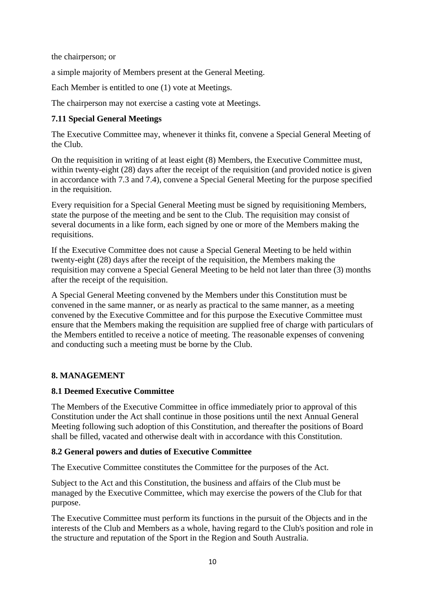the chairperson; or

a simple majority of Members present at the General Meeting.

Each Member is entitled to one (1) vote at Meetings.

The chairperson may not exercise a casting vote at Meetings.

# **7.11 Special General Meetings**

The Executive Committee may, whenever it thinks fit, convene a Special General Meeting of the Club.

On the requisition in writing of at least eight (8) Members, the Executive Committee must, within twenty-eight (28) days after the receipt of the requisition (and provided notice is given in accordance with 7.3 and 7.4), convene a Special General Meeting for the purpose specified in the requisition.

Every requisition for a Special General Meeting must be signed by requisitioning Members, state the purpose of the meeting and be sent to the Club. The requisition may consist of several documents in a like form, each signed by one or more of the Members making the requisitions.

If the Executive Committee does not cause a Special General Meeting to be held within twenty-eight (28) days after the receipt of the requisition, the Members making the requisition may convene a Special General Meeting to be held not later than three (3) months after the receipt of the requisition.

A Special General Meeting convened by the Members under this Constitution must be convened in the same manner, or as nearly as practical to the same manner, as a meeting convened by the Executive Committee and for this purpose the Executive Committee must ensure that the Members making the requisition are supplied free of charge with particulars of the Members entitled to receive a notice of meeting. The reasonable expenses of convening and conducting such a meeting must be borne by the Club.

## **8. MANAGEMENT**

## **8.1 Deemed Executive Committee**

The Members of the Executive Committee in office immediately prior to approval of this Constitution under the Act shall continue in those positions until the next Annual General Meeting following such adoption of this Constitution, and thereafter the positions of Board shall be filled, vacated and otherwise dealt with in accordance with this Constitution.

## **8.2 General powers and duties of Executive Committee**

The Executive Committee constitutes the Committee for the purposes of the Act.

Subject to the Act and this Constitution, the business and affairs of the Club must be managed by the Executive Committee, which may exercise the powers of the Club for that purpose.

The Executive Committee must perform its functions in the pursuit of the Objects and in the interests of the Club and Members as a whole, having regard to the Club's position and role in the structure and reputation of the Sport in the Region and South Australia.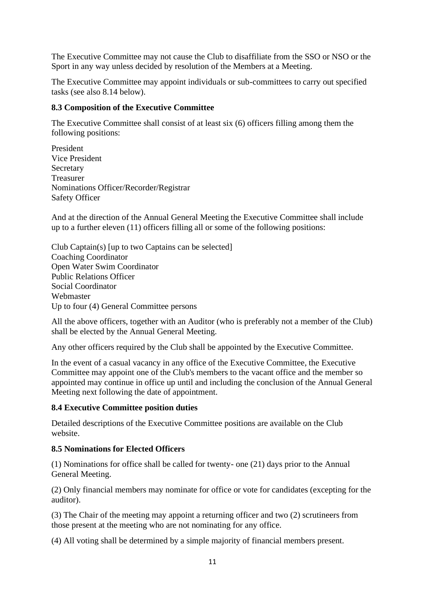The Executive Committee may not cause the Club to disaffiliate from the SSO or NSO or the Sport in any way unless decided by resolution of the Members at a Meeting.

The Executive Committee may appoint individuals or sub-committees to carry out specified tasks (see also 8.14 below).

#### **8.3 Composition of the Executive Committee**

The Executive Committee shall consist of at least six (6) officers filling among them the following positions:

President Vice President Secretary Treasurer Nominations Officer/Recorder/Registrar Safety Officer

And at the direction of the Annual General Meeting the Executive Committee shall include up to a further eleven (11) officers filling all or some of the following positions:

Club Captain(s) [up to two Captains can be selected] Coaching Coordinator Open Water Swim Coordinator Public Relations Officer Social Coordinator Webmaster Up to four (4) General Committee persons

All the above officers, together with an Auditor (who is preferably not a member of the Club) shall be elected by the Annual General Meeting.

Any other officers required by the Club shall be appointed by the Executive Committee.

In the event of a casual vacancy in any office of the Executive Committee, the Executive Committee may appoint one of the Club's members to the vacant office and the member so appointed may continue in office up until and including the conclusion of the Annual General Meeting next following the date of appointment.

#### **8.4 Executive Committee position duties**

Detailed descriptions of the Executive Committee positions are available on the Club website.

#### **8.5 Nominations for Elected Officers**

(1) Nominations for office shall be called for twenty- one (21) days prior to the Annual General Meeting.

(2) Only financial members may nominate for office or vote for candidates (excepting for the auditor).

(3) The Chair of the meeting may appoint a returning officer and two (2) scrutineers from those present at the meeting who are not nominating for any office.

(4) All voting shall be determined by a simple majority of financial members present.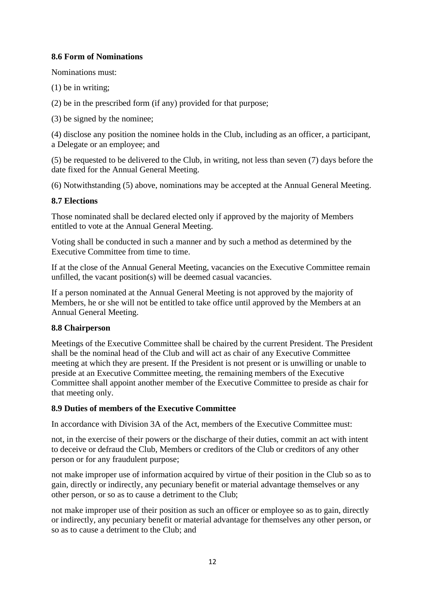## **8.6 Form of Nominations**

Nominations must:

(1) be in writing;

(2) be in the prescribed form (if any) provided for that purpose;

(3) be signed by the nominee;

(4) disclose any position the nominee holds in the Club, including as an officer, a participant, a Delegate or an employee; and

(5) be requested to be delivered to the Club, in writing, not less than seven (7) days before the date fixed for the Annual General Meeting.

(6) Notwithstanding (5) above, nominations may be accepted at the Annual General Meeting.

#### **8.7 Elections**

Those nominated shall be declared elected only if approved by the majority of Members entitled to vote at the Annual General Meeting.

Voting shall be conducted in such a manner and by such a method as determined by the Executive Committee from time to time.

If at the close of the Annual General Meeting, vacancies on the Executive Committee remain unfilled, the vacant position(s) will be deemed casual vacancies.

If a person nominated at the Annual General Meeting is not approved by the majority of Members, he or she will not be entitled to take office until approved by the Members at an Annual General Meeting.

## **8.8 Chairperson**

Meetings of the Executive Committee shall be chaired by the current President. The President shall be the nominal head of the Club and will act as chair of any Executive Committee meeting at which they are present. If the President is not present or is unwilling or unable to preside at an Executive Committee meeting, the remaining members of the Executive Committee shall appoint another member of the Executive Committee to preside as chair for that meeting only.

#### **8.9 Duties of members of the Executive Committee**

In accordance with Division 3A of the Act, members of the Executive Committee must:

not, in the exercise of their powers or the discharge of their duties, commit an act with intent to deceive or defraud the Club, Members or creditors of the Club or creditors of any other person or for any fraudulent purpose;

not make improper use of information acquired by virtue of their position in the Club so as to gain, directly or indirectly, any pecuniary benefit or material advantage themselves or any other person, or so as to cause a detriment to the Club;

not make improper use of their position as such an officer or employee so as to gain, directly or indirectly, any pecuniary benefit or material advantage for themselves any other person, or so as to cause a detriment to the Club; and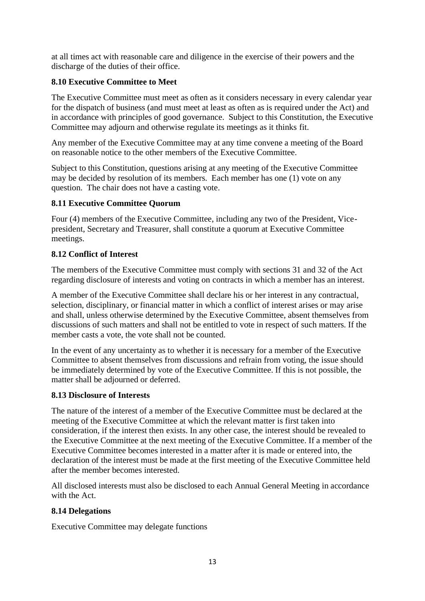at all times act with reasonable care and diligence in the exercise of their powers and the discharge of the duties of their office.

# **8.10 Executive Committee to Meet**

The Executive Committee must meet as often as it considers necessary in every calendar year for the dispatch of business (and must meet at least as often as is required under the Act) and in accordance with principles of good governance. Subject to this Constitution, the Executive Committee may adjourn and otherwise regulate its meetings as it thinks fit.

Any member of the Executive Committee may at any time convene a meeting of the Board on reasonable notice to the other members of the Executive Committee.

Subject to this Constitution, questions arising at any meeting of the Executive Committee may be decided by resolution of its members. Each member has one (1) vote on any question. The chair does not have a casting vote.

#### **8.11 Executive Committee Quorum**

Four (4) members of the Executive Committee, including any two of the President, Vicepresident, Secretary and Treasurer, shall constitute a quorum at Executive Committee meetings.

#### **8.12 Conflict of Interest**

The members of the Executive Committee must comply with sections 31 and 32 of the Act regarding disclosure of interests and voting on contracts in which a member has an interest.

A member of the Executive Committee shall declare his or her interest in any contractual, selection, disciplinary, or financial matter in which a conflict of interest arises or may arise and shall, unless otherwise determined by the Executive Committee, absent themselves from discussions of such matters and shall not be entitled to vote in respect of such matters. If the member casts a vote, the vote shall not be counted.

In the event of any uncertainty as to whether it is necessary for a member of the Executive Committee to absent themselves from discussions and refrain from voting, the issue should be immediately determined by vote of the Executive Committee. If this is not possible, the matter shall be adjourned or deferred.

#### **8.13 Disclosure of Interests**

The nature of the interest of a member of the Executive Committee must be declared at the meeting of the Executive Committee at which the relevant matter is first taken into consideration, if the interest then exists. In any other case, the interest should be revealed to the Executive Committee at the next meeting of the Executive Committee. If a member of the Executive Committee becomes interested in a matter after it is made or entered into, the declaration of the interest must be made at the first meeting of the Executive Committee held after the member becomes interested.

All disclosed interests must also be disclosed to each Annual General Meeting in accordance with the Act.

## **8.14 Delegations**

Executive Committee may delegate functions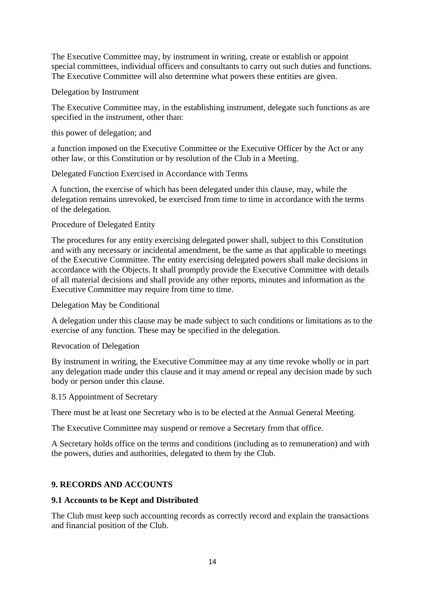The Executive Committee may, by instrument in writing, create or establish or appoint special committees, individual officers and consultants to carry out such duties and functions. The Executive Committee will also determine what powers these entities are given.

Delegation by Instrument

The Executive Committee may, in the establishing instrument, delegate such functions as are specified in the instrument, other than:

this power of delegation; and

a function imposed on the Executive Committee or the Executive Officer by the Act or any other law, or this Constitution or by resolution of the Club in a Meeting.

Delegated Function Exercised in Accordance with Terms

A function, the exercise of which has been delegated under this clause, may, while the delegation remains unrevoked, be exercised from time to time in accordance with the terms of the delegation.

#### Procedure of Delegated Entity

The procedures for any entity exercising delegated power shall, subject to this Constitution and with any necessary or incidental amendment, be the same as that applicable to meetings of the Executive Committee. The entity exercising delegated powers shall make decisions in accordance with the Objects. It shall promptly provide the Executive Committee with details of all material decisions and shall provide any other reports, minutes and information as the Executive Committee may require from time to time.

Delegation May be Conditional

A delegation under this clause may be made subject to such conditions or limitations as to the exercise of any function. These may be specified in the delegation.

Revocation of Delegation

By instrument in writing, the Executive Committee may at any time revoke wholly or in part any delegation made under this clause and it may amend or repeal any decision made by such body or person under this clause.

8.15 Appointment of Secretary

There must be at least one Secretary who is to be elected at the Annual General Meeting.

The Executive Committee may suspend or remove a Secretary from that office.

A Secretary holds office on the terms and conditions (including as to remuneration) and with the powers, duties and authorities, delegated to them by the Club.

## **9. RECORDS AND ACCOUNTS**

## **9.1 Accounts to be Kept and Distributed**

The Club must keep such accounting records as correctly record and explain the transactions and financial position of the Club.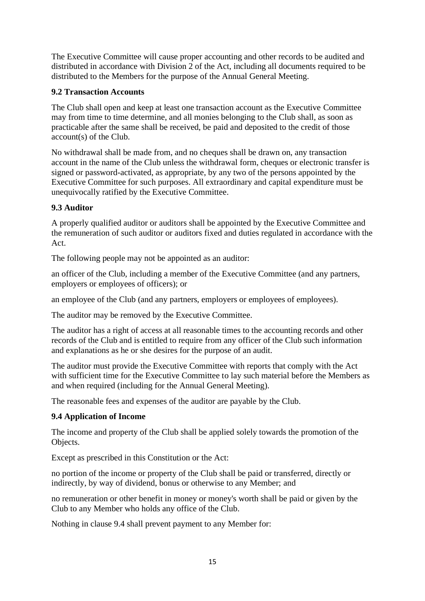The Executive Committee will cause proper accounting and other records to be audited and distributed in accordance with Division 2 of the Act, including all documents required to be distributed to the Members for the purpose of the Annual General Meeting.

# **9.2 Transaction Accounts**

The Club shall open and keep at least one transaction account as the Executive Committee may from time to time determine, and all monies belonging to the Club shall, as soon as practicable after the same shall be received, be paid and deposited to the credit of those account(s) of the Club.

No withdrawal shall be made from, and no cheques shall be drawn on, any transaction account in the name of the Club unless the withdrawal form, cheques or electronic transfer is signed or password-activated, as appropriate, by any two of the persons appointed by the Executive Committee for such purposes. All extraordinary and capital expenditure must be unequivocally ratified by the Executive Committee.

# **9.3 Auditor**

A properly qualified auditor or auditors shall be appointed by the Executive Committee and the remuneration of such auditor or auditors fixed and duties regulated in accordance with the Act.

The following people may not be appointed as an auditor:

an officer of the Club, including a member of the Executive Committee (and any partners, employers or employees of officers); or

an employee of the Club (and any partners, employers or employees of employees).

The auditor may be removed by the Executive Committee.

The auditor has a right of access at all reasonable times to the accounting records and other records of the Club and is entitled to require from any officer of the Club such information and explanations as he or she desires for the purpose of an audit.

The auditor must provide the Executive Committee with reports that comply with the Act with sufficient time for the Executive Committee to lay such material before the Members as and when required (including for the Annual General Meeting).

The reasonable fees and expenses of the auditor are payable by the Club.

## **9.4 Application of Income**

The income and property of the Club shall be applied solely towards the promotion of the Objects.

Except as prescribed in this Constitution or the Act:

no portion of the income or property of the Club shall be paid or transferred, directly or indirectly, by way of dividend, bonus or otherwise to any Member; and

no remuneration or other benefit in money or money's worth shall be paid or given by the Club to any Member who holds any office of the Club.

Nothing in clause 9.4 shall prevent payment to any Member for: